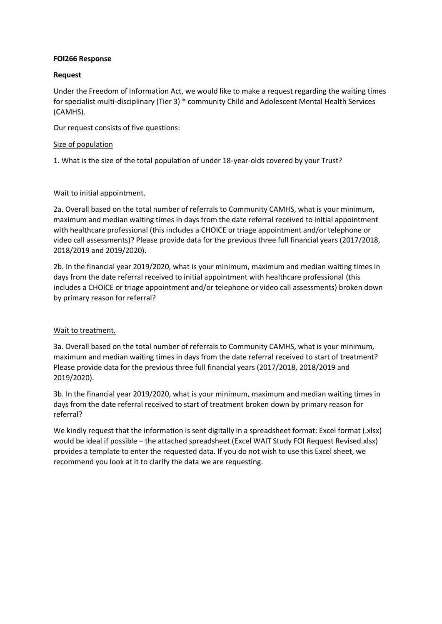### **FOI266 Response**

# **Request**

Under the Freedom of Information Act, we would like to make a request regarding the waiting times for specialist multi-disciplinary (Tier 3) \* community Child and Adolescent Mental Health Services (CAMHS).

Our request consists of five questions:

# Size of population

1. What is the size of the total population of under 18-year-olds covered by your Trust?

# Wait to initial appointment.

2a. Overall based on the total number of referrals to Community CAMHS, what is your minimum, maximum and median waiting times in days from the date referral received to initial appointment with healthcare professional (this includes a CHOICE or triage appointment and/or telephone or video call assessments)? Please provide data for the previous three full financial years (2017/2018, 2018/2019 and 2019/2020).

2b. In the financial year 2019/2020, what is your minimum, maximum and median waiting times in days from the date referral received to initial appointment with healthcare professional (this includes a CHOICE or triage appointment and/or telephone or video call assessments) broken down by primary reason for referral?

### Wait to treatment.

3a. Overall based on the total number of referrals to Community CAMHS, what is your minimum, maximum and median waiting times in days from the date referral received to start of treatment? Please provide data for the previous three full financial years (2017/2018, 2018/2019 and 2019/2020).

3b. In the financial year 2019/2020, what is your minimum, maximum and median waiting times in days from the date referral received to start of treatment broken down by primary reason for referral?

We kindly request that the information is sent digitally in a spreadsheet format: Excel format (.xlsx) would be ideal if possible – the attached spreadsheet (Excel WAIT Study FOI Request Revised.xlsx) provides a template to enter the requested data. If you do not wish to use this Excel sheet, we recommend you look at it to clarify the data we are requesting.